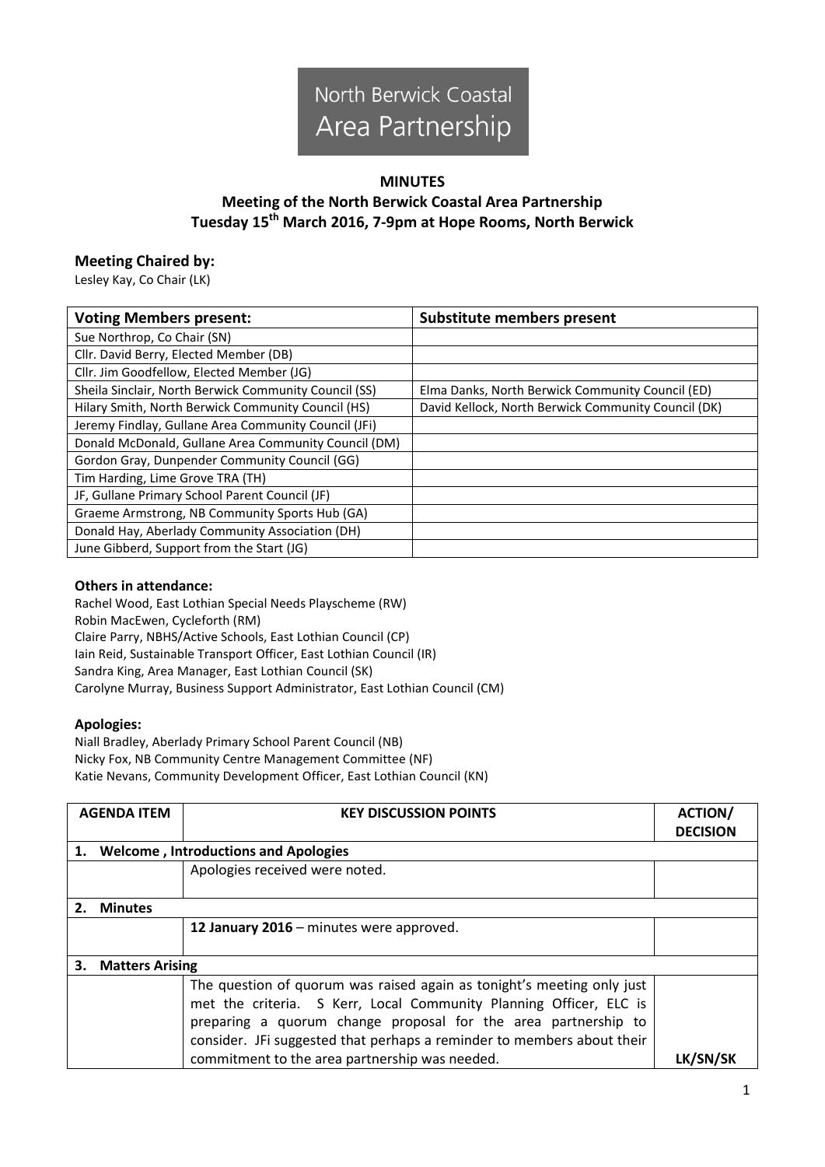

## **MINUTES**

# **Meeting of the North Berwick Coastal Area Partnership Tuesday 15 th March 2016, 7-9pm at Hope Rooms, North Berwick**

## **Meeting Chaired by:**

Lesley Kay, Co Chair (LK)

| <b>Voting Members present:</b>                        | <b>Substitute members present</b>                   |  |
|-------------------------------------------------------|-----------------------------------------------------|--|
| Sue Northrop, Co Chair (SN)                           |                                                     |  |
| Cllr. David Berry, Elected Member (DB)                |                                                     |  |
| Cllr. Jim Goodfellow, Elected Member (JG)             |                                                     |  |
| Sheila Sinclair, North Berwick Community Council (SS) | Elma Danks, North Berwick Community Council (ED)    |  |
| Hilary Smith, North Berwick Community Council (HS)    | David Kellock, North Berwick Community Council (DK) |  |
| Jeremy Findlay, Gullane Area Community Council (JFi)  |                                                     |  |
| Donald McDonald, Gullane Area Community Council (DM)  |                                                     |  |
| Gordon Gray, Dunpender Community Council (GG)         |                                                     |  |
| Tim Harding, Lime Grove TRA (TH)                      |                                                     |  |
| JF, Gullane Primary School Parent Council (JF)        |                                                     |  |
| Graeme Armstrong, NB Community Sports Hub (GA)        |                                                     |  |
| Donald Hay, Aberlady Community Association (DH)       |                                                     |  |
| June Gibberd, Support from the Start (JG)             |                                                     |  |

#### **Others in attendance:**

Rachel Wood, East Lothian Special Needs Playscheme (RW) Robin MacEwen, Cycleforth (RM) Claire Parry, NBHS/Active Schools, East Lothian Council (CP) Iain Reid, Sustainable Transport Officer, East Lothian Council (IR) Sandra King, Area Manager, East Lothian Council (SK) Carolyne Murray, Business Support Administrator, East Lothian Council (CM)

#### **Apologies:**

Niall Bradley, Aberlady Primary School Parent Council (NB) Nicky Fox, NB Community Centre Management Committee (NF) Katie Nevans, Community Development Officer, East Lothian Council (KN)

|                              | <b>AGENDA ITEM</b>                          | <b>KEY DISCUSSION POINTS</b>                                           | <b>ACTION/</b><br><b>DECISION</b> |
|------------------------------|---------------------------------------------|------------------------------------------------------------------------|-----------------------------------|
| 1.                           | <b>Welcome, Introductions and Apologies</b> |                                                                        |                                   |
|                              |                                             | Apologies received were noted.                                         |                                   |
|                              | <b>Minutes</b>                              |                                                                        |                                   |
|                              |                                             | 12 January 2016 - minutes were approved.                               |                                   |
|                              |                                             |                                                                        |                                   |
| 3.<br><b>Matters Arising</b> |                                             |                                                                        |                                   |
|                              |                                             | The question of quorum was raised again as tonight's meeting only just |                                   |
|                              |                                             | met the criteria. S Kerr, Local Community Planning Officer, ELC is     |                                   |
|                              |                                             | preparing a quorum change proposal for the area partnership to         |                                   |
|                              |                                             | consider. JFi suggested that perhaps a reminder to members about their |                                   |
|                              |                                             | commitment to the area partnership was needed.                         | <b>LK/SN/SK</b>                   |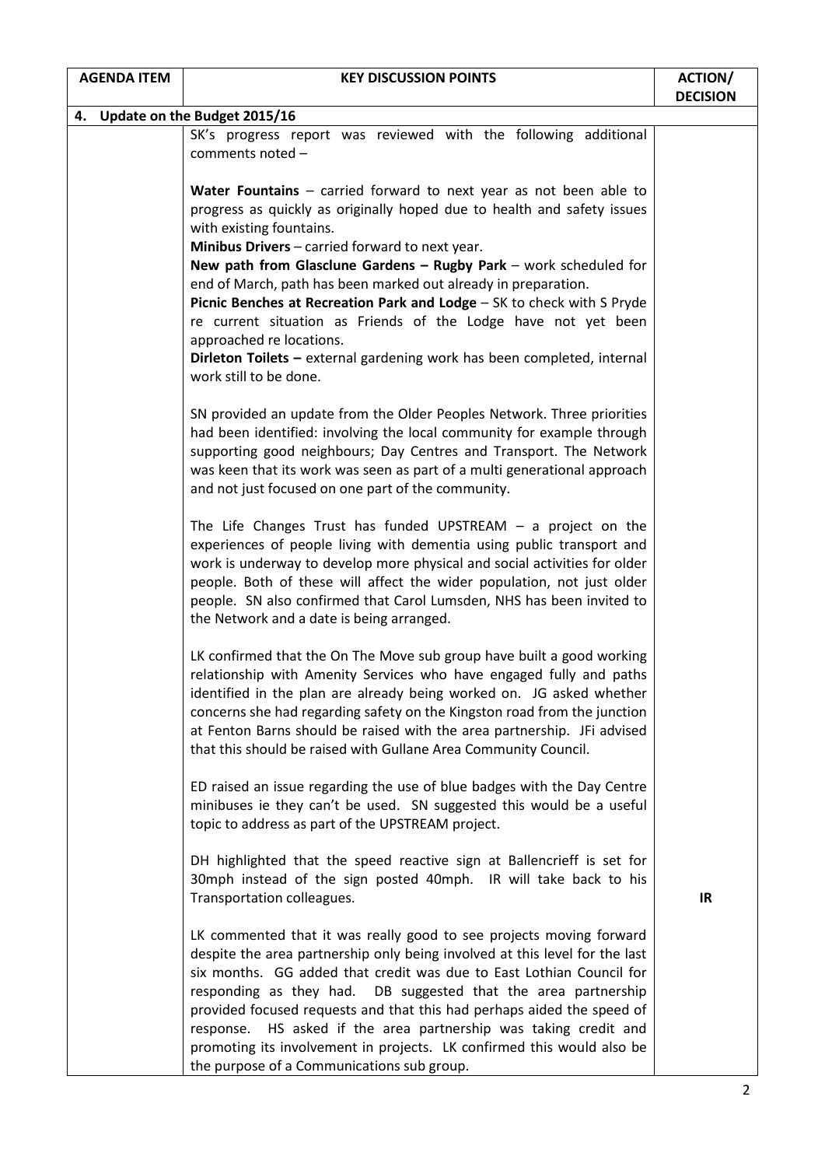| <b>AGENDA ITEM</b><br><b>KEY DISCUSSION POINTS</b> |  | <b>ACTION/</b>                                                                                                                                                                                                                                                                                                                                                                                                                                                                                                                                                                                                                                   |                 |
|----------------------------------------------------|--|--------------------------------------------------------------------------------------------------------------------------------------------------------------------------------------------------------------------------------------------------------------------------------------------------------------------------------------------------------------------------------------------------------------------------------------------------------------------------------------------------------------------------------------------------------------------------------------------------------------------------------------------------|-----------------|
|                                                    |  |                                                                                                                                                                                                                                                                                                                                                                                                                                                                                                                                                                                                                                                  | <b>DECISION</b> |
|                                                    |  | 4. Update on the Budget 2015/16                                                                                                                                                                                                                                                                                                                                                                                                                                                                                                                                                                                                                  |                 |
|                                                    |  | SK's progress report was reviewed with the following additional<br>comments noted -                                                                                                                                                                                                                                                                                                                                                                                                                                                                                                                                                              |                 |
|                                                    |  | Water Fountains - carried forward to next year as not been able to<br>progress as quickly as originally hoped due to health and safety issues<br>with existing fountains.<br>Minibus Drivers - carried forward to next year.<br>New path from Glasclune Gardens - Rugby Park - work scheduled for<br>end of March, path has been marked out already in preparation.<br>Picnic Benches at Recreation Park and Lodge - SK to check with S Pryde<br>re current situation as Friends of the Lodge have not yet been<br>approached re locations.<br>Dirleton Toilets - external gardening work has been completed, internal<br>work still to be done. |                 |
|                                                    |  | SN provided an update from the Older Peoples Network. Three priorities<br>had been identified: involving the local community for example through<br>supporting good neighbours; Day Centres and Transport. The Network<br>was keen that its work was seen as part of a multi generational approach<br>and not just focused on one part of the community.                                                                                                                                                                                                                                                                                         |                 |
|                                                    |  | The Life Changes Trust has funded UPSTREAM $-$ a project on the<br>experiences of people living with dementia using public transport and<br>work is underway to develop more physical and social activities for older<br>people. Both of these will affect the wider population, not just older<br>people. SN also confirmed that Carol Lumsden, NHS has been invited to<br>the Network and a date is being arranged.                                                                                                                                                                                                                            |                 |
|                                                    |  | LK confirmed that the On The Move sub group have built a good working<br>relationship with Amenity Services who have engaged fully and paths<br>identified in the plan are already being worked on. JG asked whether<br>concerns she had regarding safety on the Kingston road from the junction<br>at Fenton Barns should be raised with the area partnership. JFi advised<br>that this should be raised with Gullane Area Community Council.                                                                                                                                                                                                   |                 |
|                                                    |  | ED raised an issue regarding the use of blue badges with the Day Centre<br>minibuses ie they can't be used. SN suggested this would be a useful<br>topic to address as part of the UPSTREAM project.                                                                                                                                                                                                                                                                                                                                                                                                                                             |                 |
|                                                    |  | DH highlighted that the speed reactive sign at Ballencrieff is set for<br>30mph instead of the sign posted 40mph. IR will take back to his<br>Transportation colleagues.                                                                                                                                                                                                                                                                                                                                                                                                                                                                         | IR              |
|                                                    |  | LK commented that it was really good to see projects moving forward<br>despite the area partnership only being involved at this level for the last<br>six months. GG added that credit was due to East Lothian Council for<br>responding as they had. DB suggested that the area partnership<br>provided focused requests and that this had perhaps aided the speed of<br>response. HS asked if the area partnership was taking credit and<br>promoting its involvement in projects. LK confirmed this would also be<br>the purpose of a Communications sub group.                                                                               |                 |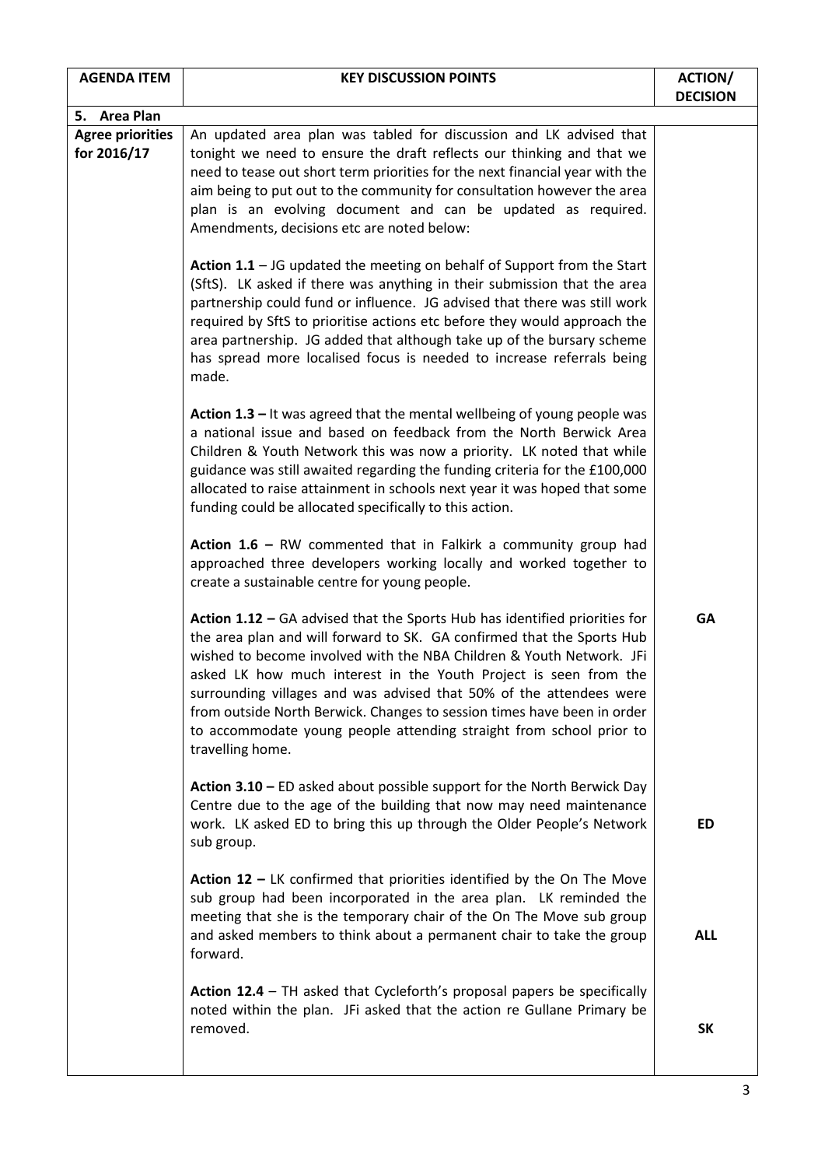| <b>AGENDA ITEM</b>                     | <b>KEY DISCUSSION POINTS</b>                                                                                                                                                                                                                                                                                                                                                                                                                                                                                                                  | <b>ACTION/</b><br><b>DECISION</b> |
|----------------------------------------|-----------------------------------------------------------------------------------------------------------------------------------------------------------------------------------------------------------------------------------------------------------------------------------------------------------------------------------------------------------------------------------------------------------------------------------------------------------------------------------------------------------------------------------------------|-----------------------------------|
| 5. Area Plan                           |                                                                                                                                                                                                                                                                                                                                                                                                                                                                                                                                               |                                   |
| <b>Agree priorities</b><br>for 2016/17 | An updated area plan was tabled for discussion and LK advised that<br>tonight we need to ensure the draft reflects our thinking and that we<br>need to tease out short term priorities for the next financial year with the<br>aim being to put out to the community for consultation however the area<br>plan is an evolving document and can be updated as required.<br>Amendments, decisions etc are noted below:                                                                                                                          |                                   |
|                                        | Action $1.1 -$ JG updated the meeting on behalf of Support from the Start<br>(SftS). LK asked if there was anything in their submission that the area<br>partnership could fund or influence. JG advised that there was still work<br>required by SftS to prioritise actions etc before they would approach the<br>area partnership. JG added that although take up of the bursary scheme<br>has spread more localised focus is needed to increase referrals being<br>made.                                                                   |                                   |
|                                        | Action $1.3$ – It was agreed that the mental wellbeing of young people was<br>a national issue and based on feedback from the North Berwick Area<br>Children & Youth Network this was now a priority. LK noted that while<br>guidance was still awaited regarding the funding criteria for the £100,000<br>allocated to raise attainment in schools next year it was hoped that some<br>funding could be allocated specifically to this action.                                                                                               |                                   |
|                                        | Action $1.6$ – RW commented that in Falkirk a community group had<br>approached three developers working locally and worked together to<br>create a sustainable centre for young people.                                                                                                                                                                                                                                                                                                                                                      |                                   |
|                                        | Action 1.12 - GA advised that the Sports Hub has identified priorities for<br>the area plan and will forward to SK. GA confirmed that the Sports Hub<br>wished to become involved with the NBA Children & Youth Network. JFi<br>asked LK how much interest in the Youth Project is seen from the<br>surrounding villages and was advised that 50% of the attendees were<br>from outside North Berwick. Changes to session times have been in order<br>to accommodate young people attending straight from school prior to<br>travelling home. | <b>GA</b>                         |
|                                        | Action $3.10$ – ED asked about possible support for the North Berwick Day<br>Centre due to the age of the building that now may need maintenance<br>work. LK asked ED to bring this up through the Older People's Network<br>sub group.                                                                                                                                                                                                                                                                                                       | <b>ED</b>                         |
|                                        | Action $12$ – LK confirmed that priorities identified by the On The Move<br>sub group had been incorporated in the area plan. LK reminded the<br>meeting that she is the temporary chair of the On The Move sub group<br>and asked members to think about a permanent chair to take the group<br>forward.                                                                                                                                                                                                                                     | <b>ALL</b>                        |
|                                        | Action 12.4 - TH asked that Cycleforth's proposal papers be specifically<br>noted within the plan. JFi asked that the action re Gullane Primary be<br>removed.                                                                                                                                                                                                                                                                                                                                                                                | <b>SK</b>                         |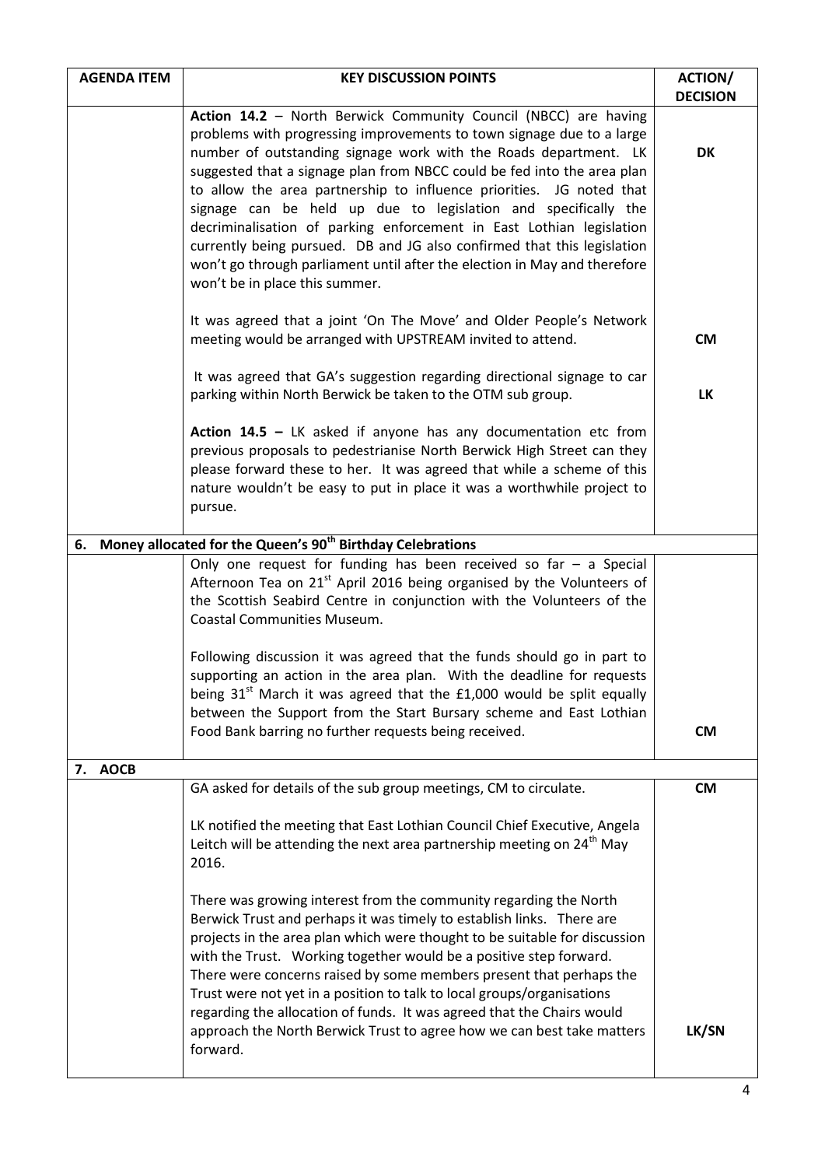| <b>AGENDA ITEM</b> | <b>KEY DISCUSSION POINTS</b>                                                                                                                                                                                                                                                                                                                                                                                                                                                                                                                                                                                                                                                                        | <b>ACTION/</b><br><b>DECISION</b> |
|--------------------|-----------------------------------------------------------------------------------------------------------------------------------------------------------------------------------------------------------------------------------------------------------------------------------------------------------------------------------------------------------------------------------------------------------------------------------------------------------------------------------------------------------------------------------------------------------------------------------------------------------------------------------------------------------------------------------------------------|-----------------------------------|
|                    | Action 14.2 - North Berwick Community Council (NBCC) are having<br>problems with progressing improvements to town signage due to a large<br>number of outstanding signage work with the Roads department. LK<br>suggested that a signage plan from NBCC could be fed into the area plan<br>to allow the area partnership to influence priorities. JG noted that<br>signage can be held up due to legislation and specifically the<br>decriminalisation of parking enforcement in East Lothian legislation<br>currently being pursued. DB and JG also confirmed that this legislation<br>won't go through parliament until after the election in May and therefore<br>won't be in place this summer. | <b>DK</b>                         |
|                    | It was agreed that a joint 'On The Move' and Older People's Network<br>meeting would be arranged with UPSTREAM invited to attend.                                                                                                                                                                                                                                                                                                                                                                                                                                                                                                                                                                   | <b>CM</b>                         |
|                    | It was agreed that GA's suggestion regarding directional signage to car<br>parking within North Berwick be taken to the OTM sub group.                                                                                                                                                                                                                                                                                                                                                                                                                                                                                                                                                              | <b>LK</b>                         |
|                    | Action $14.5$ – LK asked if anyone has any documentation etc from<br>previous proposals to pedestrianise North Berwick High Street can they<br>please forward these to her. It was agreed that while a scheme of this<br>nature wouldn't be easy to put in place it was a worthwhile project to<br>pursue.                                                                                                                                                                                                                                                                                                                                                                                          |                                   |
| 6.                 | Money allocated for the Queen's 90 <sup>th</sup> Birthday Celebrations                                                                                                                                                                                                                                                                                                                                                                                                                                                                                                                                                                                                                              |                                   |
|                    | Only one request for funding has been received so far $-$ a Special<br>Afternoon Tea on 21 <sup>st</sup> April 2016 being organised by the Volunteers of<br>the Scottish Seabird Centre in conjunction with the Volunteers of the<br><b>Coastal Communities Museum.</b><br>Following discussion it was agreed that the funds should go in part to<br>supporting an action in the area plan. With the deadline for requests<br>being $31st$ March it was agreed that the £1,000 would be split equally<br>between the Support from the Start Bursary scheme and East Lothian<br>Food Bank barring no further requests being received.                                                                | <b>CM</b>                         |
| <b>AOCB</b>        |                                                                                                                                                                                                                                                                                                                                                                                                                                                                                                                                                                                                                                                                                                     |                                   |
| 7.                 | GA asked for details of the sub group meetings, CM to circulate.<br>LK notified the meeting that East Lothian Council Chief Executive, Angela<br>Leitch will be attending the next area partnership meeting on $24th$ May<br>2016.                                                                                                                                                                                                                                                                                                                                                                                                                                                                  | <b>CM</b>                         |
|                    | There was growing interest from the community regarding the North<br>Berwick Trust and perhaps it was timely to establish links. There are<br>projects in the area plan which were thought to be suitable for discussion<br>with the Trust. Working together would be a positive step forward.<br>There were concerns raised by some members present that perhaps the<br>Trust were not yet in a position to talk to local groups/organisations<br>regarding the allocation of funds. It was agreed that the Chairs would<br>approach the North Berwick Trust to agree how we can best take matters<br>forward.                                                                                     | LK/SN                             |